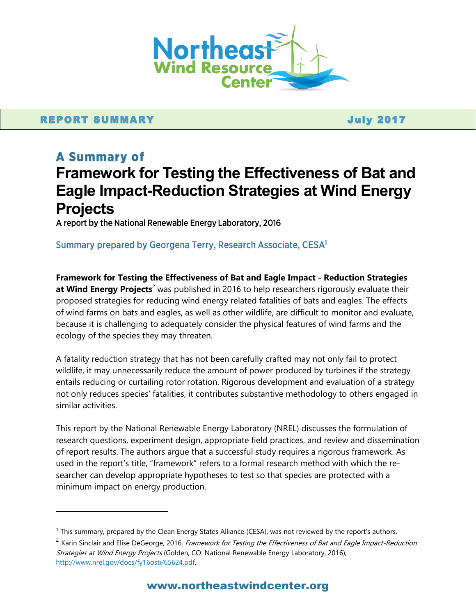

## REPORT SUMMARY And the state of the state of the state of the state of the state of the state of the state of the state of the state of the state of the state of the state of the state of the state of the state of the stat

 $\overline{a}$ 

# **A Summary of** Framework for Testing the Effectiveness of Bat and Eagle Impact-Reduction Strategies at Wind Energy **Projects**

A report by the National Renewable Energy Laboratory, 2016

### Summary prepared by Georgena Terry, Research Associate, CESA<sup>1</sup>

**Framework for Testing the Effectiveness of Bat and Eagle Impact - Reduction Strategies at Wind Energy Projects<sup>2</sup>** was published in 2016 to help researchers rigorously evaluate their proposed strategies for reducing wind energy related fatalities of bats and eagles. The effects of wind farms on bats and eagles, as well as other wildlife, are difficult to monitor and evaluate, because it is challenging to adequately consider the physical features of wind farms and the ecology of the species they may threaten.

A fatality reduction strategy that has not been carefully crafted may not only fail to protect wildlife, it may unnecessarily reduce the amount of power produced by turbines if the strategy entails reducing or curtailing rotor rotation. Rigorous development and evaluation of a strategy not only reduces species' fatalities, it contributes substantive methodology to others engaged in similar activities.

This report by the National Renewable Energy Laboratory (NREL) discusses the formulation of research questions, experiment design, appropriate field practices, and review and dissemination of report results. The authors argue that a successful study requires a rigorous framework. As used in the report's title, "framework" refers to a formal research method with which the researcher can develop appropriate hypotheses to test so that species are protected with a minimum impact on energy production.

 $1$  This summary, prepared by the Clean Energy States Alliance (CESA), was not reviewed by the report's authors.

<sup>&</sup>lt;sup>2</sup> Karin Sinclair and Elise DeGeorge, 2016. *Framework for Testing the Effectiveness of Bat and Eagle Impact-Reduction* Strategies at Wind Energy Projects (Golden, CO: National Renewable Energy Laboratory, 2016), [http://www.nrel.gov/docs/fy16osti/65624.pdf.](http://www.nrel.gov/docs/fy16osti/65624.pdf)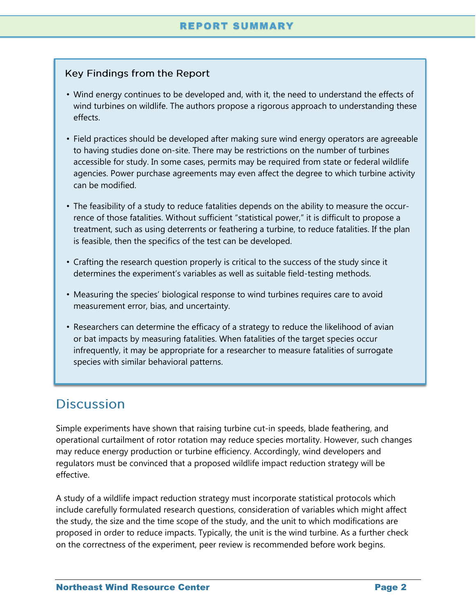## Key Findings from the Report

- Wind energy continues to be developed and, with it, the need to understand the effects of wind turbines on wildlife. The authors propose a rigorous approach to understanding these effects.
- Field practices should be developed after making sure wind energy operators are agreeable to having studies done on-site. There may be restrictions on the number of turbines accessible for study. In some cases, permits may be required from state or federal wildlife agencies. Power purchase agreements may even affect the degree to which turbine activity can be modified.
- The feasibility of a study to reduce fatalities depends on the ability to measure the occurrence of those fatalities. Without sufficient "statistical power," it is difficult to propose a treatment, such as using deterrents or feathering a turbine, to reduce fatalities. If the plan is feasible, then the specifics of the test can be developed.
- Crafting the research question properly is critical to the success of the study since it determines the experiment's variables as well as suitable field-testing methods.
- Measuring the species' biological response to wind turbines requires care to avoid measurement error, bias, and uncertainty.
- Researchers can determine the efficacy of a strategy to reduce the likelihood of avian or bat impacts by measuring fatalities. When fatalities of the target species occur infrequently, it may be appropriate for a researcher to measure fatalities of surrogate species with similar behavioral patterns.

## **Discussion**

Simple experiments have shown that raising turbine cut-in speeds, blade feathering, and operational curtailment of rotor rotation may reduce species mortality. However, such changes may reduce energy production or turbine efficiency. Accordingly, wind developers and regulators must be convinced that a proposed wildlife impact reduction strategy will be effective.

A study of a wildlife impact reduction strategy must incorporate statistical protocols which include carefully formulated research questions, consideration of variables which might affect the study, the size and the time scope of the study, and the unit to which modifications are proposed in order to reduce impacts. Typically, the unit is the wind turbine. As a further check on the correctness of the experiment, peer review is recommended before work begins.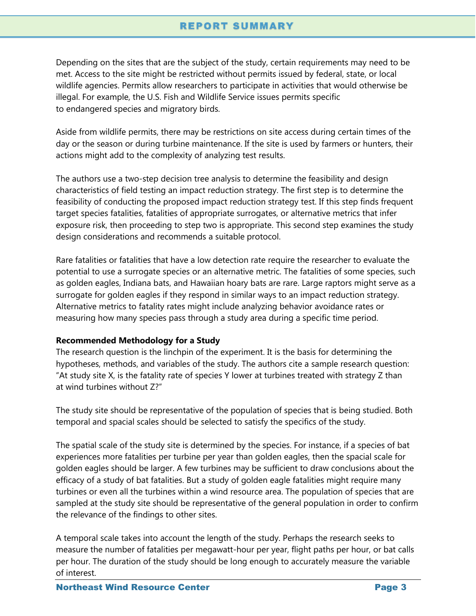## **REPORT SUMMARY**

Depending on the sites that are the subject of the study, certain requirements may need to be met. Access to the site might be restricted without permits issued by federal, state, or local wildlife agencies. Permits allow researchers to participate in activities that would otherwise be illegal. For example, the U.S. Fish and Wildlife Service issues permits specific to endangered species and migratory birds.

Aside from wildlife permits, there may be restrictions on site access during certain times of the day or the season or during turbine maintenance. If the site is used by farmers or hunters, their actions might add to the complexity of analyzing test results.

The authors use a two-step decision tree analysis to determine the feasibility and design characteristics of field testing an impact reduction strategy. The first step is to determine the feasibility of conducting the proposed impact reduction strategy test. If this step finds frequent target species fatalities, fatalities of appropriate surrogates, or alternative metrics that infer exposure risk, then proceeding to step two is appropriate. This second step examines the study design considerations and recommends a suitable protocol.

Rare fatalities or fatalities that have a low detection rate require the researcher to evaluate the potential to use a surrogate species or an alternative metric. The fatalities of some species, such as golden eagles, Indiana bats, and Hawaiian hoary bats are rare. Large raptors might serve as a surrogate for golden eagles if they respond in similar ways to an impact reduction strategy. Alternative metrics to fatality rates might include analyzing behavior avoidance rates or measuring how many species pass through a study area during a specific time period.

#### **Recommended Methodology for a Study**

The research question is the linchpin of the experiment. It is the basis for determining the hypotheses, methods, and variables of the study. The authors cite a sample research question: "At study site X, is the fatality rate of species Y lower at turbines treated with strategy Z than at wind turbines without Z?"

The study site should be representative of the population of species that is being studied. Both temporal and spacial scales should be selected to satisfy the specifics of the study.

The spatial scale of the study site is determined by the species. For instance, if a species of bat experiences more fatalities per turbine per year than golden eagles, then the spacial scale for golden eagles should be larger. A few turbines may be sufficient to draw conclusions about the efficacy of a study of bat fatalities. But a study of golden eagle fatalities might require many turbines or even all the turbines within a wind resource area. The population of species that are sampled at the study site should be representative of the general population in order to confirm the relevance of the findings to other sites.

A temporal scale takes into account the length of the study. Perhaps the research seeks to measure the number of fatalities per megawatt-hour per year, flight paths per hour, or bat calls per hour. The duration of the study should be long enough to accurately measure the variable of interest.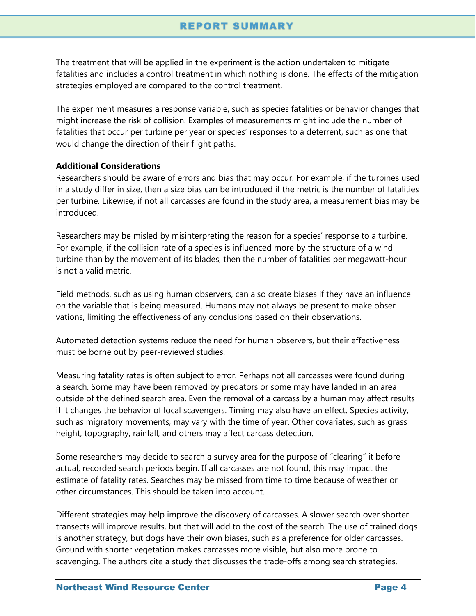## **REPORT SUMMARY**

The treatment that will be applied in the experiment is the action undertaken to mitigate fatalities and includes a control treatment in which nothing is done. The effects of the mitigation strategies employed are compared to the control treatment.

The experiment measures a response variable, such as species fatalities or behavior changes that might increase the risk of collision. Examples of measurements might include the number of fatalities that occur per turbine per year or species' responses to a deterrent, such as one that would change the direction of their flight paths.

#### **Additional Considerations**

Researchers should be aware of errors and bias that may occur. For example, if the turbines used in a study differ in size, then a size bias can be introduced if the metric is the number of fatalities per turbine. Likewise, if not all carcasses are found in the study area, a measurement bias may be introduced.

Researchers may be misled by misinterpreting the reason for a species' response to a turbine. For example, if the collision rate of a species is influenced more by the structure of a wind turbine than by the movement of its blades, then the number of fatalities per megawatt-hour is not a valid metric.

Field methods, such as using human observers, can also create biases if they have an influence on the variable that is being measured. Humans may not always be present to make observations, limiting the effectiveness of any conclusions based on their observations.

Automated detection systems reduce the need for human observers, but their effectiveness must be borne out by peer-reviewed studies.

Measuring fatality rates is often subject to error. Perhaps not all carcasses were found during a search. Some may have been removed by predators or some may have landed in an area outside of the defined search area. Even the removal of a carcass by a human may affect results if it changes the behavior of local scavengers. Timing may also have an effect. Species activity, such as migratory movements, may vary with the time of year. Other covariates, such as grass height, topography, rainfall, and others may affect carcass detection.

Some researchers may decide to search a survey area for the purpose of "clearing" it before actual, recorded search periods begin. If all carcasses are not found, this may impact the estimate of fatality rates. Searches may be missed from time to time because of weather or other circumstances. This should be taken into account.

Different strategies may help improve the discovery of carcasses. A slower search over shorter transects will improve results, but that will add to the cost of the search. The use of trained dogs is another strategy, but dogs have their own biases, such as a preference for older carcasses. Ground with shorter vegetation makes carcasses more visible, but also more prone to scavenging. The authors cite a study that discusses the trade-offs among search strategies.